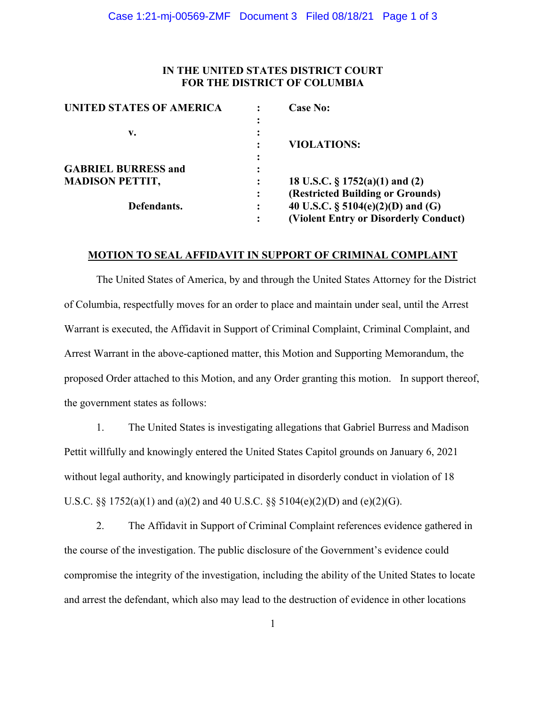## **IN THE UNITED STATES DISTRICT COURT FOR THE DISTRICT OF COLUMBIA**

| <b>UNITED STATES OF AMERICA</b> |                | <b>Case No:</b>                       |
|---------------------------------|----------------|---------------------------------------|
|                                 |                |                                       |
| v.                              |                |                                       |
|                                 |                | <b>VIOLATIONS:</b>                    |
|                                 |                |                                       |
| <b>GABRIEL BURRESS and</b>      |                |                                       |
| <b>MADISON PETTIT,</b>          |                | 18 U.S.C. $\S 1752(a)(1)$ and (2)     |
|                                 | $\ddot{\cdot}$ | (Restricted Building or Grounds)      |
| Defendants.                     |                | 40 U.S.C. $\S$ 5104(e)(2)(D) and (G)  |
|                                 |                | (Violent Entry or Disorderly Conduct) |

### **MOTION TO SEAL AFFIDAVIT IN SUPPORT OF CRIMINAL COMPLAINT**

The United States of America, by and through the United States Attorney for the District of Columbia, respectfully moves for an order to place and maintain under seal, until the Arrest Warrant is executed, the Affidavit in Support of Criminal Complaint, Criminal Complaint, and Arrest Warrant in the above-captioned matter, this Motion and Supporting Memorandum, the proposed Order attached to this Motion, and any Order granting this motion. In support thereof, the government states as follows:

1. The United States is investigating allegations that Gabriel Burress and Madison Pettit willfully and knowingly entered the United States Capitol grounds on January 6, 2021 without legal authority, and knowingly participated in disorderly conduct in violation of 18 U.S.C. §§ 1752(a)(1) and (a)(2) and 40 U.S.C. §§ 5104(e)(2)(D) and (e)(2)(G).

2. The Affidavit in Support of Criminal Complaint references evidence gathered in the course of the investigation. The public disclosure of the Government's evidence could compromise the integrity of the investigation, including the ability of the United States to locate and arrest the defendant, which also may lead to the destruction of evidence in other locations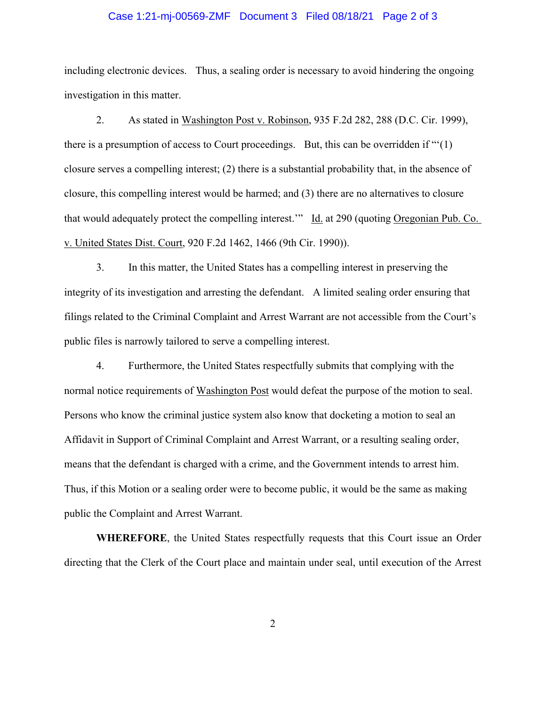#### Case 1:21-mj-00569-ZMF Document 3 Filed 08/18/21 Page 2 of 3

including electronic devices. Thus, a sealing order is necessary to avoid hindering the ongoing investigation in this matter.

 2. As stated in Washington Post v. Robinson, 935 F.2d 282, 288 (D.C. Cir. 1999), there is a presumption of access to Court proceedings. But, this can be overridden if "'(1) closure serves a compelling interest; (2) there is a substantial probability that, in the absence of closure, this compelling interest would be harmed; and (3) there are no alternatives to closure that would adequately protect the compelling interest.'" Id. at 290 (quoting Oregonian Pub. Co. v. United States Dist. Court, 920 F.2d 1462, 1466 (9th Cir. 1990)).

 3. In this matter, the United States has a compelling interest in preserving the integrity of its investigation and arresting the defendant. A limited sealing order ensuring that filings related to the Criminal Complaint and Arrest Warrant are not accessible from the Court's public files is narrowly tailored to serve a compelling interest.

 4. Furthermore, the United States respectfully submits that complying with the normal notice requirements of Washington Post would defeat the purpose of the motion to seal. Persons who know the criminal justice system also know that docketing a motion to seal an Affidavit in Support of Criminal Complaint and Arrest Warrant, or a resulting sealing order, means that the defendant is charged with a crime, and the Government intends to arrest him. Thus, if this Motion or a sealing order were to become public, it would be the same as making public the Complaint and Arrest Warrant.

**WHEREFORE**, the United States respectfully requests that this Court issue an Order directing that the Clerk of the Court place and maintain under seal, until execution of the Arrest

2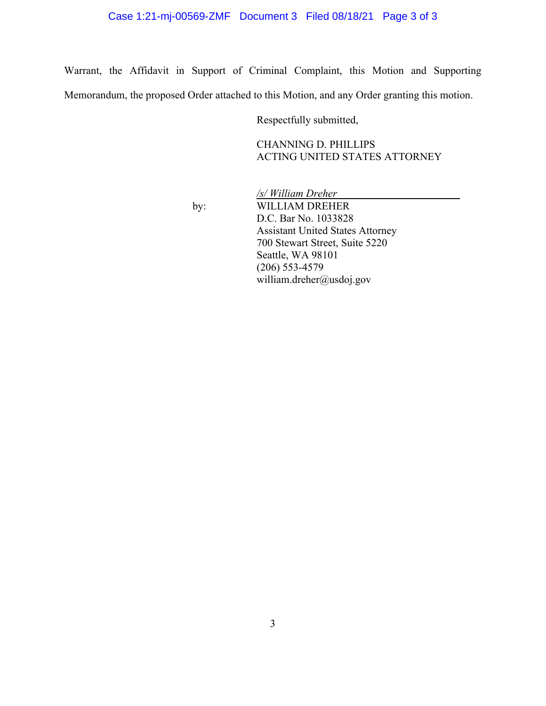# Case 1:21-mj-00569-ZMF Document 3 Filed 08/18/21 Page 3 of 3

Warrant, the Affidavit in Support of Criminal Complaint, this Motion and Supporting Memorandum, the proposed Order attached to this Motion, and any Order granting this motion.

Respectfully submitted,

CHANNING D. PHILLIPS ACTING UNITED STATES ATTORNEY

 */s/ William Dreher*\_\_\_\_\_\_\_\_\_\_\_\_\_\_\_\_\_\_\_\_\_\_\_ by: WILLIAM DREHER D.C. Bar No. 1033828 Assistant United States Attorney 700 Stewart Street, Suite 5220 Seattle, WA 98101 (206) 553-4579 william.dreher@usdoj.gov